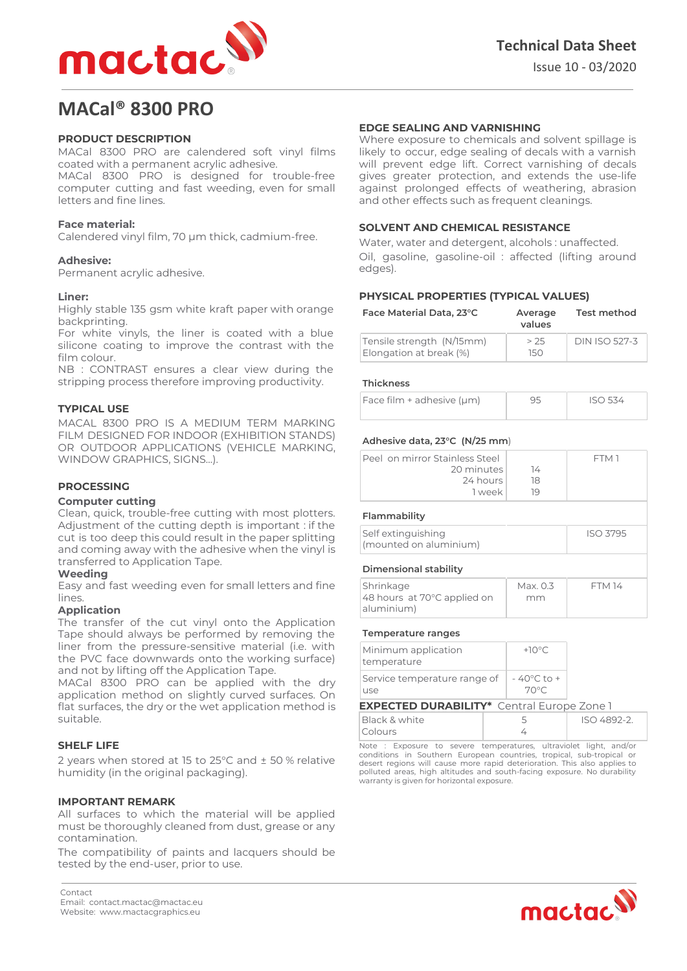

# **MACal® 8300 PRO**

# **PRODUCT DESCRIPTION**

MACal 8300 PRO are calendered soft vinyl films coated with a permanent acrylic adhesive.

MACal 8300 PRO is designed for trouble-free computer cutting and fast weeding, even for small letters and fine lines.

# **Face material:**

Calendered vinyl film, 70 µm thick, cadmium-free.

# **Adhesive:**

Permanent acrylic adhesive.

# **Liner:**

Highly stable 135 gsm white kraft paper with orange backprinting.

For white vinyls, the liner is coated with a blue silicone coating to improve the contrast with the film colour.

NB : CONTRAST ensures a clear view during the stripping process therefore improving productivity.

# **TYPICAL USE**

MACAL 8300 PRO IS A MEDIUM TERM MARKING FILM DESIGNED FOR INDOOR (EXHIBITION STANDS) OR OUTDOOR APPLICATIONS (VEHICLE MARKING, WINDOW GRAPHICS, SIGNS…).

# **PROCESSING**

#### **Computer cutting**

Clean, quick, trouble-free cutting with most plotters. Adjustment of the cutting depth is important : if the cut is too deep this could result in the paper splitting and coming away with the adhesive when the vinyl is transferred to Application Tape.

#### **Weeding**

Easy and fast weeding even for small letters and fine lines.

#### **Application**

The transfer of the cut vinyl onto the Application Tape should always be performed by removing the liner from the pressure-sensitive material (i.e. with the PVC face downwards onto the working surface) and not by lifting off the Application Tape.

MACal 8300 PRO can be applied with the dry application method on slightly curved surfaces. On flat surfaces, the dry or the wet application method is suitable.

# **SHELF LIFE**

2 years when stored at 15 to 25°C and ± 50 % relative humidity (in the original packaging).

#### **IMPORTANT REMARK**

All surfaces to which the material will be applied must be thoroughly cleaned from dust, grease or any contamination.

The compatibility of paints and lacquers should be tested by the end-user, prior to use.

# **EDGE SEALING AND VARNISHING**

Where exposure to chemicals and solvent spillage is likely to occur, edge sealing of decals with a varnish will prevent edge lift. Correct varnishing of decals gives greater protection, and extends the use-life against prolonged effects of weathering, abrasion and other effects such as frequent cleanings.

# **SOLVENT AND CHEMICAL RESISTANCE**

Water, water and detergent, alcohols : unaffected. Oil, gasoline, gasoline-oil : affected (lifting around edges).

# **PHYSICAL PROPERTIES (TYPICAL VALUES)**

| Face Material Data, 23°C                             | Average<br>values | <b>Test method</b>   |
|------------------------------------------------------|-------------------|----------------------|
| Tensile strength (N/15mm)<br>Elongation at break (%) | > 25<br>150.      | <b>DIN ISO 527-3</b> |

#### **Thickness**

| $ Face film + adhesive (µm)$ | ISO 534 |
|------------------------------|---------|
|                              |         |

#### **Adhesive data, 23°C (N/25 mm**)

| Peel on mirror Stainless Steel<br>20 minutes<br>24 hours<br>1 week | 14<br>18<br>19 | FTM 1           |  |  |
|--------------------------------------------------------------------|----------------|-----------------|--|--|
| Flammability                                                       |                |                 |  |  |
| Self extinguishing<br>(mounted on aluminium)                       |                | <b>ISO 3795</b> |  |  |

# **Dimensional stability**

| Shrinkage<br>48 hours at 70°C applied on<br>aluminium) | Max. 0.3<br>mm | <b>FTM 14</b> |
|--------------------------------------------------------|----------------|---------------|
|                                                        |                |               |

#### **Temperature ranges**

| Minimum application<br>temperature                |  | $+10^{\circ}$ C                |             |  |
|---------------------------------------------------|--|--------------------------------|-------------|--|
| Service temperature range of<br>use               |  | $-40^{\circ}$ C to $+$<br>70°C |             |  |
| <b>EXPECTED DURABILITY*</b> Central Europe Zone 1 |  |                                |             |  |
| Black & white<br>Colours                          |  | 5                              | ISO 4892-2. |  |

Note : Exposure to severe temperatures, ultraviolet light, and/or conditions in Southern European countries, tropical, sub-tropical or desert regions will cause more rapid deterioration. This also applies to polluted areas, high altitudes and south-facing exposure. No durability warranty is given for horizontal exposure.